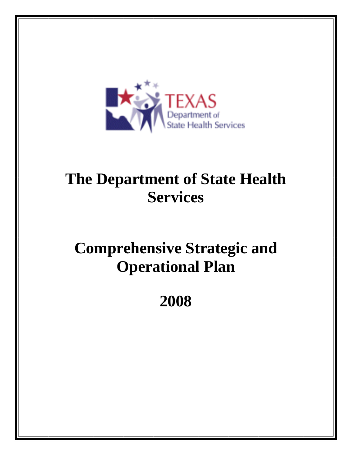

# **The Department of State Health Services**

# **Comprehensive Strategic and Operational Plan**

# **2008**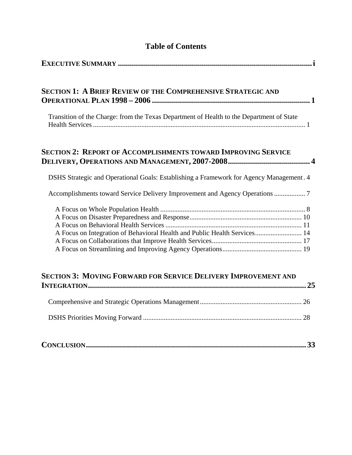| <b>SECTION 1: A BRIEF REVIEW OF THE COMPREHENSIVE STRATEGIC AND</b>                      |  |
|------------------------------------------------------------------------------------------|--|
| Transition of the Charge: from the Texas Department of Health to the Department of State |  |
| <b>SECTION 2: REPORT OF ACCOMPLISHMENTS TOWARD IMPROVING SERVICE</b>                     |  |
| DSHS Strategic and Operational Goals: Establishing a Framework for Agency Management. 4  |  |
|                                                                                          |  |
| A Focus on Integration of Behavioral Health and Public Health Services 14                |  |
| <b>SECTION 3: MOVING FORWARD FOR SERVICE DELIVERY IMPROVEMENT AND</b>                    |  |
|                                                                                          |  |
|                                                                                          |  |
|                                                                                          |  |

# **Table of Contents**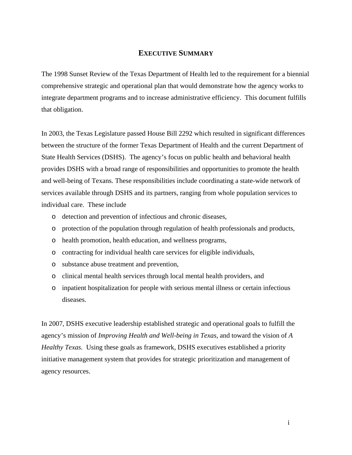#### **EXECUTIVE SUMMARY**

<span id="page-2-0"></span>The 1998 Sunset Review of the Texas Department of Health led to the requirement for a biennial comprehensive strategic and operational plan that would demonstrate how the agency works to integrate department programs and to increase administrative efficiency. This document fulfills that obligation.

In 2003, the Texas Legislature passed House Bill 2292 which resulted in significant differences between the structure of the former Texas Department of Health and the current Department of State Health Services (DSHS). The agency's focus on public health and behavioral health provides DSHS with a broad range of responsibilities and opportunities to promote the health and well-being of Texans. These responsibilities include coordinating a state-wide network of services available through DSHS and its partners, ranging from whole population services to individual care. These include

- o detection and prevention of infectious and chronic diseases,
- o protection of the population through regulation of health professionals and products,
- o health promotion, health education, and wellness programs,
- o contracting for individual health care services for eligible individuals,
- o substance abuse treatment and prevention,
- o clinical mental health services through local mental health providers, and
- o inpatient hospitalization for people with serious mental illness or certain infectious diseases.

In 2007, DSHS executive leadership established strategic and operational goals to fulfill the agency's mission of *Improving Health and Well-being in Texas*, and toward the vision of *A Healthy Texas.* Using these goals as framework, DSHS executives established a priority initiative management system that provides for strategic prioritization and management of agency resources.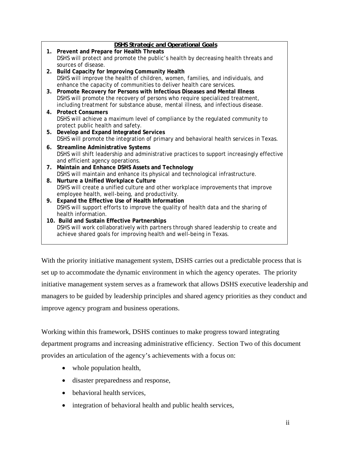|    | <b>DSHS Strategic and Operational Goals</b>                                               |
|----|-------------------------------------------------------------------------------------------|
|    | 1. Prevent and Prepare for Health Threats                                                 |
|    | DSHS will protect and promote the public's health by decreasing health threats and        |
|    | sources of disease.                                                                       |
|    | 2. Build Capacity for Improving Community Health                                          |
|    | DSHS will improve the health of children, women, families, and individuals, and           |
|    | enhance the capacity of communities to deliver health care services.                      |
|    | 3. Promote Recovery for Persons with Infectious Diseases and Mental Illness               |
|    | DSHS will promote the recovery of persons who require specialized treatment,              |
|    | including treatment for substance abuse, mental illness, and infectious disease.          |
|    | 4. Protect Consumers                                                                      |
|    | DSHS will achieve a maximum level of compliance by the regulated community to             |
|    | protect public health and safety.                                                         |
|    | 5. Develop and Expand Integrated Services                                                 |
|    | DSHS will promote the integration of primary and behavioral health services in Texas.     |
| 6. | Streamline Administrative Systems                                                         |
|    | DSHS will shift leadership and administrative practices to support increasingly effective |
|    | and efficient agency operations.                                                          |
| 7. | Maintain and Enhance DSHS Assets and Technology                                           |
|    | DSHS will maintain and enhance its physical and technological infrastructure.             |
|    | 8. Nurture a Unified Workplace Culture                                                    |
|    | DSHS will create a unified culture and other workplace improvements that improve          |
|    | employee health, well-being, and productivity.                                            |
|    | 9. Expand the Effective Use of Health Information                                         |
|    | DSHS will support efforts to improve the quality of health data and the sharing of        |
|    | health information.                                                                       |
|    | 10. Build and Sustain Effective Partnerships                                              |
|    | DSHS will work collaboratively with partners through shared leadership to create and      |
|    | achieve shared goals for improving health and well-being in Texas.                        |
|    |                                                                                           |

With the priority initiative management system, DSHS carries out a predictable process that is set up to accommodate the dynamic environment in which the agency operates. The priority initiative management system serves as a framework that allows DSHS executive leadership and managers to be guided by leadership principles and shared agency priorities as they conduct and improve agency program and business operations.

Working within this framework, DSHS continues to make progress toward integrating department programs and increasing administrative efficiency. Section Two of this document provides an articulation of the agency's achievements with a focus on:

- whole population health,
- disaster preparedness and response,
- behavioral health services,
- integration of behavioral health and public health services,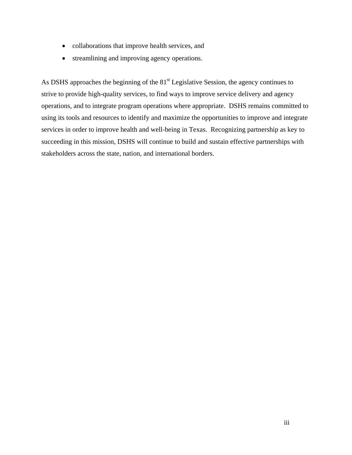- collaborations that improve health services, and
- streamlining and improving agency operations.

As DSHS approaches the beginning of the 81<sup>st</sup> Legislative Session, the agency continues to strive to provide high-quality services, to find ways to improve service delivery and agency operations, and to integrate program operations where appropriate. DSHS remains committed to using its tools and resources to identify and maximize the opportunities to improve and integrate services in order to improve health and well-being in Texas. Recognizing partnership as key to succeeding in this mission, DSHS will continue to build and sustain effective partnerships with stakeholders across the state, nation, and international borders.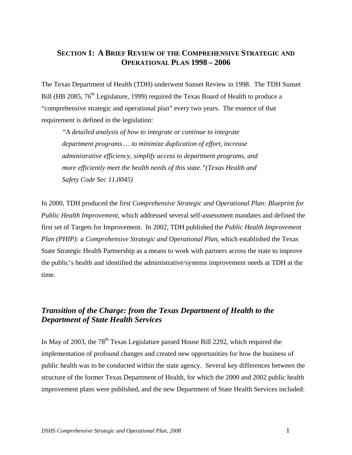### <span id="page-5-0"></span>**SECTION 1: A BRIEF REVIEW OF THE COMPREHENSIVE STRATEGIC AND OPERATIONAL PLAN 1998 – 2006**

The Texas Department of Health (TDH) underwent Sunset Review in 1998. The TDH Sunset Bill (HB 2085,  $76<sup>th</sup>$  Legislature, 1999) required the Texas Board of Health to produce a "comprehensive strategic and operational plan" every two years. The essence of that requirement is defined in the legislation:

*"A detailed analysis of how to integrate or continue to integrate department programs … to minimize duplication of effort, increase administrative efficiency, simplify access to department programs, and more efficiently meet the health needs of this state."(Texas Health and Safety Code Sec 11.0045)* 

In 2000, TDH produced the first *Comprehensive Strategic and Operational Plan: Blueprint for Public Health Improvement*, which addressed several self-assessment mandates and defined the first set of Targets for Improvement. In 2002, TDH published the *Public Health Improvement Plan (PHIP): a Comprehensive Strategic and Operational Plan*, which established the Texas State Strategic Health Partnership as a means to work with partners across the state to improve the public's health and identified the administrative/systems improvement needs at TDH at the time.

## *Transition of the Charge: from the Texas Department of Health to the Department of State Health Services*

In May of 2003, the  $78<sup>th</sup>$  Texas Legislature passed House Bill 2292, which required the implementation of profound changes and created new opportunities for how the business of public health was to be conducted within the state agency. Several key differences between the structure of the former Texas Department of Health, for which the 2000 and 2002 public health improvement plans were published, and the new Department of State Health Services included: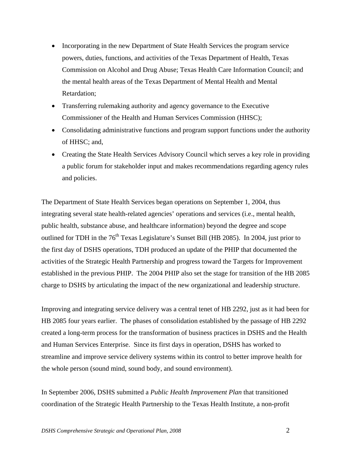- Incorporating in the new Department of State Health Services the program service powers, duties, functions, and activities of the Texas Department of Health, Texas Commission on Alcohol and Drug Abuse; Texas Health Care Information Council; and the mental health areas of the Texas Department of Mental Health and Mental Retardation;
- Transferring rulemaking authority and agency governance to the Executive Commissioner of the Health and Human Services Commission (HHSC);
- Consolidating administrative functions and program support functions under the authority of HHSC; and,
- Creating the State Health Services Advisory Council which serves a key role in providing a public forum for stakeholder input and makes recommendations regarding agency rules and policies.

The Department of State Health Services began operations on September 1, 2004, thus integrating several state health-related agencies' operations and services (i.e., mental health, public health, substance abuse, and healthcare information) beyond the degree and scope outlined for TDH in the  $76<sup>th</sup>$  Texas Legislature's Sunset Bill (HB 2085). In 2004, just prior to the first day of DSHS operations, TDH produced an update of the PHIP that documented the activities of the Strategic Health Partnership and progress toward the Targets for Improvement established in the previous PHIP. The 2004 PHIP also set the stage for transition of the HB 2085 charge to DSHS by articulating the impact of the new organizational and leadership structure.

Improving and integrating service delivery was a central tenet of HB 2292, just as it had been for HB 2085 four years earlier. The phases of consolidation established by the passage of HB 2292 created a long-term process for the transformation of business practices in DSHS and the Health and Human Services Enterprise. Since its first days in operation, DSHS has worked to streamline and improve service delivery systems within its control to better improve health for the whole person (sound mind, sound body, and sound environment).

In September 2006, DSHS submitted a *Public Health Improvement Plan* that transitioned coordination of the Strategic Health Partnership to the Texas Health Institute, a non-profit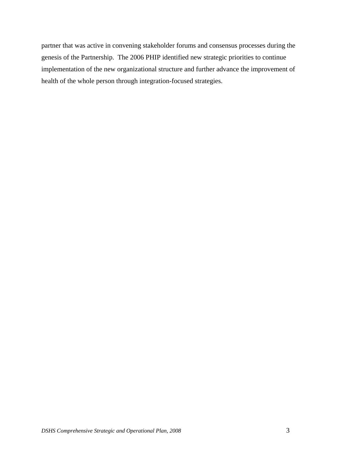partner that was active in convening stakeholder forums and consensus processes during the genesis of the Partnership. The 2006 PHIP identified new strategic priorities to continue implementation of the new organizational structure and further advance the improvement of health of the whole person through integration-focused strategies.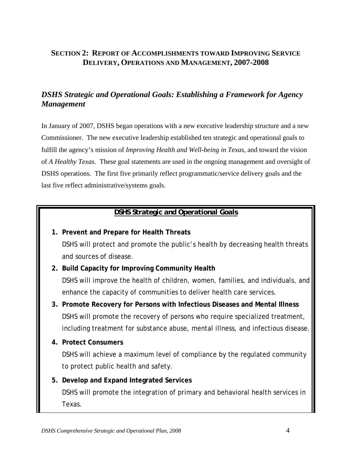## <span id="page-8-0"></span>**SECTION 2: REPORT OF ACCOMPLISHMENTS TOWARD IMPROVING SERVICE DELIVERY, OPERATIONS AND MANAGEMENT, 2007-2008**

## *DSHS Strategic and Operational Goals: Establishing a Framework for Agency Management*

In January of 2007, DSHS began operations with a new executive leadership structure and a new Commissioner. The new executive leadership established ten strategic and operational goals to fulfill the agency's mission of *Improving Health and Well-being in Texas*, and toward the vision of *A Healthy Texas.* These goal statements are used in the ongoing management and oversight of DSHS operations. The first five primarily reflect programmatic/service delivery goals and the last five reflect administrative/systems goals.

## *DSHS Strategic and Operational Goals*

- **1. Prevent and Prepare for Health Threats**  DSHS will protect and promote the public's health by decreasing health threats and sources of disease.
- **2. Build Capacity for Improving Community Health**  DSHS will improve the health of children, women, families, and individuals, and enhance the capacity of communities to deliver health care services.
- **3. Promote Recovery for Persons with Infectious Diseases and Mental Illness**  DSHS will promote the recovery of persons who require specialized treatment, including treatment for substance abuse, mental illness, and infectious disease.
- **4. Protect Consumers**

DSHS will achieve a maximum level of compliance by the regulated community to protect public health and safety.

# **5. Develop and Expand Integrated Services**  DSHS will promote the integration of primary and behavioral health services in Texas.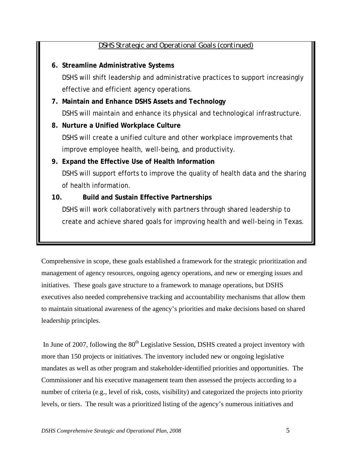## *DSHS Strategic and Operational Goals (continued)*

**6. Streamline Administrative Systems**  DSHS will shift leadership and administrative practices to support increasingly effective and efficient agency operations. **7. Maintain and Enhance DSHS Assets and Technology**  DSHS will maintain and enhance its physical and technological infrastructure. **8. Nurture a Unified Workplace Culture**  DSHS will create a unified culture and other workplace improvements that improve employee health, well-being, and productivity. **9. Expand the Effective Use of Health Information**  DSHS will support efforts to improve the quality of health data and the sharing of health information. **10. Build and Sustain Effective Partnerships**  DSHS will work collaboratively with partners through shared leadership to create and achieve shared goals for improving health and well-being in Texas.

Comprehensive in scope, these goals established a framework for the strategic prioritization and management of agency resources, ongoing agency operations, and new or emerging issues and initiatives. These goals gave structure to a framework to manage operations, but DSHS executives also needed comprehensive tracking and accountability mechanisms that allow them to maintain situational awareness of the agency's priorities and make decisions based on shared leadership principles.

In June of 2007, following the  $80<sup>th</sup>$  Legislative Session, DSHS created a project inventory with more than 150 projects or initiatives. The inventory included new or ongoing legislative mandates as well as other program and stakeholder-identified priorities and opportunities. The Commissioner and his executive management team then assessed the projects according to a number of criteria (e.g., level of risk, costs, visibility) and categorized the projects into priority levels, or tiers. The result was a prioritized listing of the agency's numerous initiatives and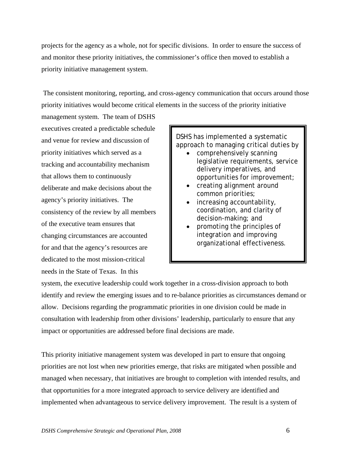projects for the agency as a whole, not for specific divisions. In order to ensure the success of and monitor these priority initiatives, the commissioner's office then moved to establish a priority initiative management system.

 The consistent monitoring, reporting, and cross-agency communication that occurs around those priority initiatives would become critical elements in the success of the priority initiative

management system. The team of DSHS executives created a predictable schedule and venue for review and discussion of priority initiatives which served as a tracking and accountability mechanism that allows them to continuously deliberate and make decisions about the agency's priority initiatives. The consistency of the review by all members of the executive team ensures that changing circumstances are accounted for and that the agency's resources are dedicated to the most mission-critical needs in the State of Texas. In this

DSHS has implemented a systematic approach to managing critical duties by

- comprehensively scanning legislative requirements, service delivery imperatives, and opportunities for improvement;
- creating alignment around common priorities;
- increasing accountability, coordination, and clarity of decision-making; and
- promoting the principles of integration and improving organizational effectiveness.

system, the executive leadership could work together in a cross-division approach to both identify and review the emerging issues and to re-balance priorities as circumstances demand or allow. Decisions regarding the programmatic priorities in one division could be made in consultation with leadership from other divisions' leadership, particularly to ensure that any impact or opportunities are addressed before final decisions are made.

This priority initiative management system was developed in part to ensure that ongoing priorities are not lost when new priorities emerge, that risks are mitigated when possible and managed when necessary, that initiatives are brought to completion with intended results, and that opportunities for a more integrated approach to service delivery are identified and implemented when advantageous to service delivery improvement. The result is a system of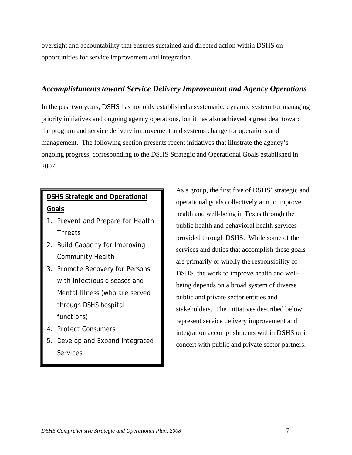<span id="page-11-0"></span>oversight and accountability that ensures sustained and directed action within DSHS on opportunities for service improvement and integration.

#### *Accomplishments toward Service Delivery Improvement and Agency Operations*

In the past two years, DSHS has not only established a systematic, dynamic system for managing priority initiatives and ongoing agency operations, but it has also achieved a great deal toward the program and service delivery improvement and systems change for operations and management. The following section presents recent initiatives that illustrate the agency's ongoing progress, corresponding to the DSHS Strategic and Operational Goals established in 2007.

# **DSHS Strategic and Operational Goals**

- 1. Prevent and Prepare for Health **Threats**
- 2. Build Capacity for Improving Community Health
- 3. Promote Recovery for Persons with Infectious diseases and Mental Illness (who are served through DSHS hospital functions)
- 4. Protect Consumers
- 5. Develop and Expand Integrated Services

As a group, the first five of DSHS' strategic and operational goals collectively aim to improve health and well-being in Texas through the public health and behavioral health services provided through DSHS. While some of the services and duties that accomplish these goals are primarily or wholly the responsibility of DSHS, the work to improve health and wellbeing depends on a broad system of diverse public and private sector entities and stakeholders. The initiatives described below represent service delivery improvement and integration accomplishments within DSHS or in concert with public and private sector partners.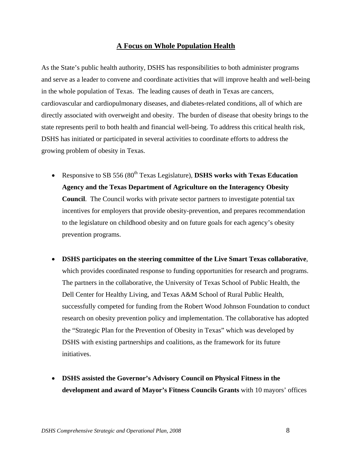#### **A Focus on Whole Population Health**

<span id="page-12-0"></span>As the State's public health authority, DSHS has responsibilities to both administer programs and serve as a leader to convene and coordinate activities that will improve health and well-being in the whole population of Texas. The leading causes of death in Texas are cancers, cardiovascular and cardiopulmonary diseases, and diabetes-related conditions, all of which are directly associated with overweight and obesity. The burden of disease that obesity brings to the state represents peril to both health and financial well-being. To address this critical health risk, DSHS has initiated or participated in several activities to coordinate efforts to address the growing problem of obesity in Texas.

- Responsive to SB 556 (80<sup>th</sup> Texas Legislature), **DSHS works with Texas Education Agency and the Texas Department of Agriculture on the Interagency Obesity Council**. The Council works with private sector partners to investigate potential tax incentives for employers that provide obesity-prevention, and prepares recommendation to the legislature on childhood obesity and on future goals for each agency's obesity prevention programs.
- **DSHS participates on the steering committee of the Live Smart Texas collaborative**, which provides coordinated response to funding opportunities for research and programs. The partners in the collaborative, the University of Texas School of Public Health, the Dell Center for Healthy Living, and Texas A&M School of Rural Public Health, successfully competed for funding from the Robert Wood Johnson Foundation to conduct research on obesity prevention policy and implementation. The collaborative has adopted the "Strategic Plan for the Prevention of Obesity in Texas" which was developed by DSHS with existing partnerships and coalitions, as the framework for its future initiatives.
- **DSHS assisted the Governor's Advisory Council on Physical Fitness in the development and award of Mayor's Fitness Councils Grants** with 10 mayors' offices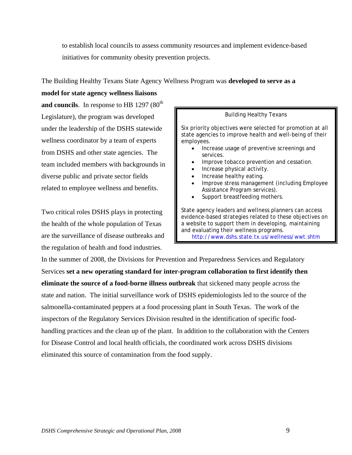to establish local councils to assess community resources and implement evidence-based initiatives for community obesity prevention projects.

#### The Building Healthy Texans State Agency Wellness Program was **developed to serve as a**

**model for state agency wellness liaisons**  and councils. In response to HB 1297 (80<sup>th</sup>) Legislature), the program was developed under the leadership of the DSHS statewide wellness coordinator by a team of experts from DSHS and other state agencies. The team included members with backgrounds in diverse public and private sector fields related to employee wellness and benefits.

Two critical roles DSHS plays in protecting the health of the whole population of Texas are the surveillance of disease outbreaks and the regulation of health and food industries.

Building Healthy Texans

Six priority objectives were selected for promotion at all state agencies to improve health and well-being of their employees.

- Increase usage of preventive screenings and services.
- Improve tobacco prevention and cessation.
- Increase physical activity.
- Increase healthy eating.
- Improve stress management (including Employee Assistance Program services).
- Support breastfeeding mothers.

State agency leaders and wellness planners can access evidence-based strategies related to these objectives on a website to support them in developing, maintaining and evaluating their wellness programs.

<http://www.dshs.state.tx.us/wellness/wwt.shtm>

In the summer of 2008, the Divisions for Prevention and Preparedness Services and Regulatory Services **set a new operating standard for inter-program collaboration to first identify then eliminate the source of a food-borne illness outbreak** that sickened many people across the state and nation. The initial surveillance work of DSHS epidemiologists led to the source of the salmonella-contaminated peppers at a food processing plant in South Texas. The work of the inspectors of the Regulatory Services Division resulted in the identification of specific foodhandling practices and the clean up of the plant. In addition to the collaboration with the Centers for Disease Control and local health officials, the coordinated work across DSHS divisions eliminated this source of contamination from the food supply.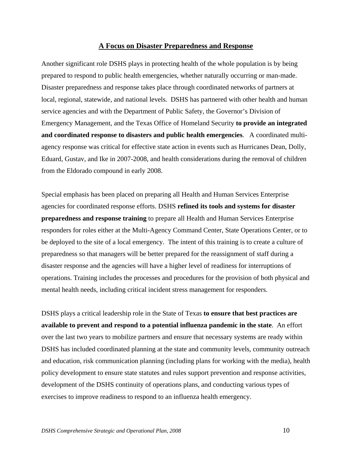#### **A Focus on Disaster Preparedness and Response**

<span id="page-14-0"></span>Another significant role DSHS plays in protecting health of the whole population is by being prepared to respond to public health emergencies, whether naturally occurring or man-made. Disaster preparedness and response takes place through coordinated networks of partners at local, regional, statewide, and national levels. DSHS has partnered with other health and human service agencies and with the Department of Public Safety, the Governor's Division of Emergency Management, and the Texas Office of Homeland Security **to provide an integrated and coordinated response to disasters and public health emergencies**. A coordinated multiagency response was critical for effective state action in events such as Hurricanes Dean, Dolly, Eduard, Gustav, and Ike in 2007-2008, and health considerations during the removal of children from the Eldorado compound in early 2008.

Special emphasis has been placed on preparing all Health and Human Services Enterprise agencies for coordinated response efforts. DSHS **refined its tools and systems for disaster preparedness and response training** to prepare all Health and Human Services Enterprise responders for roles either at the Multi-Agency Command Center, State Operations Center, or to be deployed to the site of a local emergency. The intent of this training is to create a culture of preparedness so that managers will be better prepared for the reassignment of staff during a disaster response and the agencies will have a higher level of readiness for interruptions of operations. Training includes the processes and procedures for the provision of both physical and mental health needs, including critical incident stress management for responders.

DSHS plays a critical leadership role in the State of Texas **to ensure that best practices are available to prevent and respond to a potential influenza pandemic in the state**. An effort over the last two years to mobilize partners and ensure that necessary systems are ready within DSHS has included coordinated planning at the state and community levels, community outreach and education, risk communication planning (including plans for working with the media), health policy development to ensure state statutes and rules support prevention and response activities, development of the DSHS continuity of operations plans, and conducting various types of exercises to improve readiness to respond to an influenza health emergency.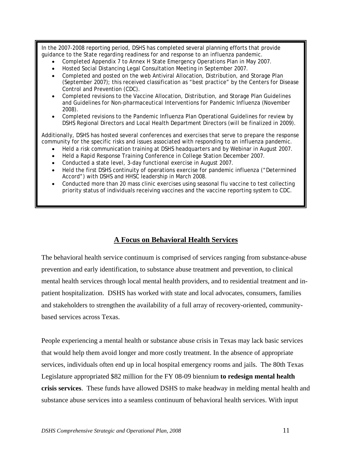<span id="page-15-0"></span>In the 2007-2008 reporting period, DSHS has completed several planning efforts that provide guidance to the State regarding readiness for and response to an influenza pandemic.

- Completed Appendix 7 to Annex H State Emergency Operations Plan in May 2007.
- Hosted Social Distancing Legal Consultation Meeting in September 2007.
- Completed and posted on the web Antiviral Allocation, Distribution, and Storage Plan (September 2007); this received classification as "best practice" by the Centers for Disease Control and Prevention (CDC).
- Completed revisions to the Vaccine Allocation, Distribution, and Storage Plan Guidelines and Guidelines for Non-pharmaceutical Interventions for Pandemic Influenza (November 2008).
- Completed revisions to the Pandemic Influenza Plan Operational Guidelines for review by DSHS Regional Directors and Local Health Department Directors (will be finalized in 2009).

Additionally, DSHS has hosted several conferences and exercises that serve to prepare the response community for the specific risks and issues associated with responding to an influenza pandemic.

- Held a risk communication training at DSHS headquarters and by Webinar in August 2007.
- Held a Rapid Response Training Conference in College Station December 2007.
- Conducted a state level, 3-day functional exercise in August 2007.
- Held the first DSHS continuity of operations exercise for pandemic influenza ("Determined" Accord") with DSHS and HHSC leadership in March 2008.
- Conducted more than 20 mass clinic exercises using seasonal flu vaccine to test collecting priority status of individuals receiving vaccines and the vaccine reporting system to CDC.

#### **A Focus on Behavioral Health Services**

The behavioral health service continuum is comprised of services ranging from substance-abuse prevention and early identification, to substance abuse treatment and prevention, to clinical mental health services through local mental health providers, and to residential treatment and inpatient hospitalization. DSHS has worked with state and local advocates, consumers, families and stakeholders to strengthen the availability of a full array of recovery-oriented, communitybased services across Texas.

People experiencing a mental health or substance abuse crisis in Texas may lack basic services that would help them avoid longer and more costly treatment. In the absence of appropriate services, individuals often end up in local hospital emergency rooms and jails. The 80th Texas Legislature appropriated \$82 million for the FY 08-09 biennium **to redesign mental health crisis services**. These funds have allowed DSHS to make headway in melding mental health and substance abuse services into a seamless continuum of behavioral health services. With input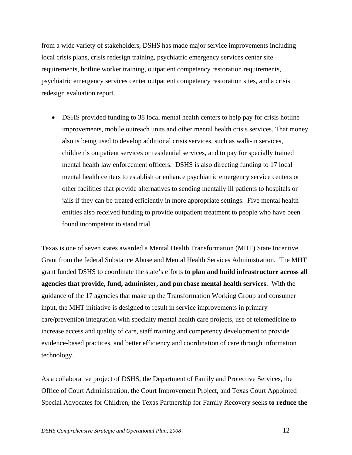from a wide variety of stakeholders, DSHS has made major service improvements including local crisis plans, crisis redesign training, psychiatric emergency services center site requirements, hotline worker training, outpatient competency restoration requirements, psychiatric emergency services center outpatient competency restoration sites, and a crisis redesign evaluation report.

• DSHS provided funding to 38 local mental health centers to help pay for crisis hotline improvements, mobile outreach units and other mental health crisis services. That money also is being used to develop additional crisis services, such as walk-in services, children's outpatient services or residential services, and to pay for specially trained mental health law enforcement officers. DSHS is also directing funding to 17 local mental health centers to establish or enhance psychiatric emergency service centers or other facilities that provide alternatives to sending mentally ill patients to hospitals or jails if they can be treated efficiently in more appropriate settings. Five mental health entities also received funding to provide outpatient treatment to people who have been found incompetent to stand trial.

Texas is one of seven states awarded a Mental Health Transformation (MHT) State Incentive Grant from the federal Substance Abuse and Mental Health Services Administration. The MHT grant funded DSHS to coordinate the state's efforts **to plan and build infrastructure across all agencies that provide, fund, administer, and purchase mental health services**. With the guidance of the 17 agencies that make up the Transformation Working Group and consumer input, the MHT initiative is designed to result in service improvements in primary care/prevention integration with specialty mental health care projects, use of telemedicine to increase access and quality of care, staff training and competency development to provide evidence-based practices, and better efficiency and coordination of care through information technology.

As a collaborative project of DSHS, the Department of Family and Protective Services, the [Office of Court Administration,](http://www.courts.state.tx.us/oca/) the Court Improvement Project, and [Texas Court Appointed](http://www.texascasa.org/)  [Special Advocates for Children,](http://www.texascasa.org/) the Texas Partnership for Family Recovery seeks **to reduce the**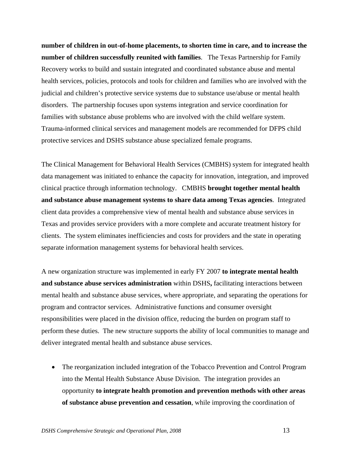**number of children in out-of-home placements, to shorten time in care, and to increase the number of children successfully reunited with families**. The Texas Partnership for Family Recovery works to build and sustain integrated and coordinated substance abuse and mental health services, policies, protocols and tools for children and families who are involved with the judicial and children's protective service systems due to substance use/abuse or mental health disorders. The partnership focuses upon systems integration and service coordination for families with substance abuse problems who are involved with the child welfare system. Trauma-informed clinical services and management models are recommended for DFPS child protective services and DSHS substance abuse specialized female programs.

The Clinical Management for Behavioral Health Services (CMBHS) system for integrated health data management was initiated to enhance the capacity for innovation, integration, and improved clinical practice through information technology. CMBHS **brought together mental health and substance abuse management systems to share data among Texas agencies**. Integrated client data provides a comprehensive view of mental health and substance abuse services in Texas and provides service providers with a more complete and accurate treatment history for clients. The system eliminates inefficiencies and costs for providers and the state in operating separate information management systems for behavioral health services.

A new organization structure was implemented in early FY 2007 **to integrate mental health and substance abuse services administration** within DSHS**,** facilitating interactions between mental health and substance abuse services, where appropriate, and separating the operations for program and contractor services. Administrative functions and consumer oversight responsibilities were placed in the division office, reducing the burden on program staff to perform these duties. The new structure supports the ability of local communities to manage and deliver integrated mental health and substance abuse services.

• The reorganization included integration of the Tobacco Prevention and Control Program into the Mental Health Substance Abuse Division. The integration provides an opportunity **to integrate health promotion and prevention methods with other areas of substance abuse prevention and cessation**, while improving the coordination of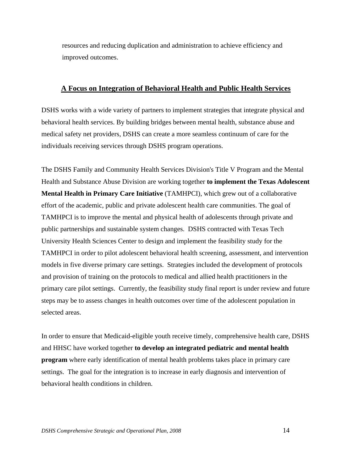<span id="page-18-0"></span>resources and reducing duplication and administration to achieve efficiency and improved outcomes.

#### **A Focus on Integration of Behavioral Health and Public Health Services**

DSHS works with a wide variety of partners to implement strategies that integrate physical and behavioral health services. By building bridges between mental health, substance abuse and medical safety net providers, DSHS can create a more seamless continuum of care for the individuals receiving services through DSHS program operations.

The DSHS Family and Community Health Services Division's Title V Program and the Mental Health and Substance Abuse Division are working together **to implement the Texas Adolescent Mental Health in Primary Care Initiative** (TAMHPCI), which grew out of a collaborative effort of the academic, public and private adolescent health care communities. The goal of TAMHPCI is to improve the mental and physical health of adolescents through private and public partnerships and sustainable system changes. DSHS contracted with Texas Tech University Health Sciences Center to design and implement the feasibility study for the TAMHPCI in order to pilot adolescent behavioral health screening, assessment, and intervention models in five diverse primary care settings. Strategies included the development of protocols and provision of training on the protocols to medical and allied health practitioners in the primary care pilot settings. Currently, the feasibility study final report is under review and future steps may be to assess changes in health outcomes over time of the adolescent population in selected areas.

In order to ensure that Medicaid-eligible youth receive timely, comprehensive health care, DSHS and HHSC have worked together **to develop an integrated pediatric and mental health program** where early identification of mental health problems takes place in primary care settings. The goal for the integration is to increase in early diagnosis and intervention of behavioral health conditions in children.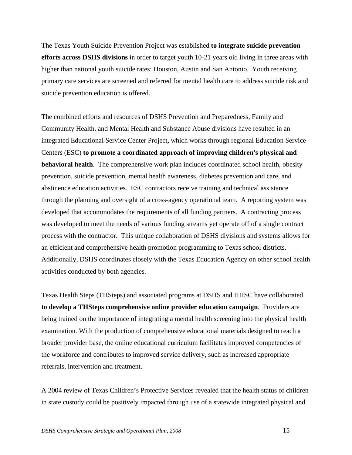The Texas Youth Suicide Prevention Project was established **to integrate suicide prevention efforts across DSHS divisions** in order to target youth 10-21 years old living in three areas with higher than national youth suicide rates: Houston, Austin and San Antonio. Youth receiving primary care services are screened and referred for mental health care to address suicide risk and suicide prevention education is offered.

The combined efforts and resources of DSHS Prevention and Preparedness, Family and Community Health, and Mental Health and Substance Abuse divisions have resulted in an integrated Educational Service Center Project**,** which works through regional Education Service Centers (ESC) **to promote a coordinated approach of improving children's physical and behavioral health**. The comprehensive work plan includes coordinated school health, obesity prevention, suicide prevention, mental health awareness, diabetes prevention and care, and abstinence education activities. ESC contractors receive training and technical assistance through the planning and oversight of a cross-agency operational team. A reporting system was developed that accommodates the requirements of all funding partners. A contracting process was developed to meet the needs of various funding streams yet operate off of a single contract process with the contractor. This unique collaboration of DSHS divisions and systems allows for an efficient and comprehensive health promotion programming to Texas school districts. Additionally, DSHS coordinates closely with the Texas Education Agency on other school health activities conducted by both agencies.

Texas Health Steps (THSteps) and associated programs at DSHS and HHSC have collaborated **to develop a THSteps comprehensive online provider education campaign**. Providers are being trained on the importance of integrating a mental health screening into the physical health examination. With the production of comprehensive educational materials designed to reach a broader provider base, the online educational curriculum facilitates improved competencies of the workforce and contributes to improved service delivery, such as increased appropriate referrals, intervention and treatment.

A 2004 review of Texas Children's Protective Services revealed that the health status of children in state custody could be positively impacted through use of a statewide integrated physical and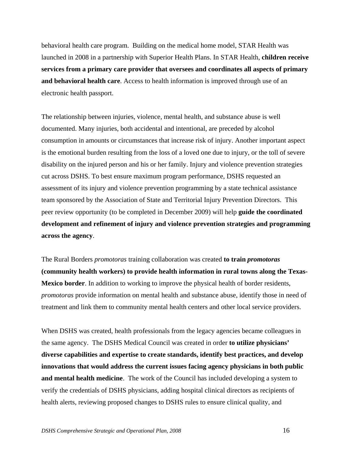behavioral health care program. Building on the medical home model, STAR Health was launched in 2008 in a partnership with Superior Health Plans. In STAR Health, **children receive services from a primary care provider that oversees and coordinates all aspects of primary and behavioral health care**. Access to health information is improved through use of an electronic health passport.

The relationship between injuries, violence, mental health, and substance abuse is well documented. Many injuries, both accidental and intentional, are preceded by alcohol consumption in amounts or circumstances that increase risk of injury. Another important aspect is the emotional burden resulting from the loss of a loved one due to injury, or the toll of severe disability on the injured person and his or her family. Injury and violence prevention strategies cut across DSHS. To best ensure maximum program performance, DSHS requested an assessment of its injury and violence prevention programming by a state technical assistance team sponsored by the Association of State and Territorial Injury Prevention Directors. This peer review opportunity (to be completed in December 2009) will help **guide the coordinated development and refinement of injury and violence prevention strategies and programming across the agency**.

The Rural Borders *promotoras* training collaboration was created **to train** *promotoras* **(community health workers) to provide health information in rural towns along the Texas-Mexico border**. In addition to working to improve the physical health of border residents, *promotoras* provide information on mental health and substance abuse, identify those in need of treatment and link them to community mental health centers and other local service providers.

When DSHS was created, health professionals from the legacy agencies became colleagues in the same agency. The DSHS Medical Council was created in order **to utilize physicians' diverse capabilities and expertise to create standards, identify best practices, and develop innovations that would address the current issues facing agency physicians in both public and mental health medicine**. The work of the Council has included developing a system to verify the credentials of DSHS physicians, adding hospital clinical directors as recipients of health alerts, reviewing proposed changes to DSHS rules to ensure clinical quality, and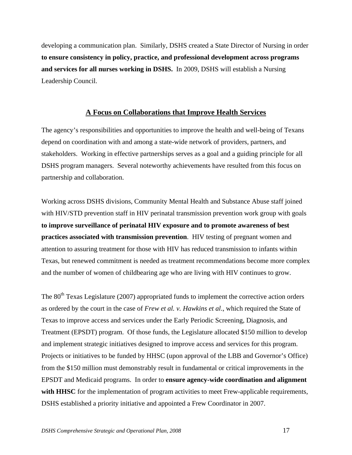<span id="page-21-0"></span>developing a communication plan. Similarly, DSHS created a State Director of Nursing in order **to ensure consistency in policy, practice, and professional development across programs and services for all nurses working in DSHS.** In 2009, DSHS will establish a Nursing Leadership Council.

#### **A Focus on Collaborations that Improve Health Services**

The agency's responsibilities and opportunities to improve the health and well-being of Texans depend on coordination with and among a state-wide network of providers, partners, and stakeholders. Working in effective partnerships serves as a goal and a guiding principle for all DSHS program managers. Several noteworthy achievements have resulted from this focus on partnership and collaboration.

Working across DSHS divisions, Community Mental Health and Substance Abuse staff joined with HIV/STD prevention staff in HIV perinatal transmission prevention work group with goals **to improve surveillance of perinatal HIV exposure and to promote awareness of best practices associated with transmission prevention**. HIV testing of pregnant women and attention to assuring treatment for those with HIV has reduced transmission to infants within Texas, but renewed commitment is needed as treatment recommendations become more complex and the number of women of childbearing age who are living with HIV continues to grow.

The 80<sup>th</sup> Texas Legislature (2007) appropriated funds to implement the corrective action orders as ordered by the court in the case of *Frew et al. v. Hawkins et al*., which required the State of Texas to improve access and services under the Early Periodic Screening, Diagnosis, and Treatment (EPSDT) program. Of those funds, the Legislature allocated \$150 million to develop and implement strategic initiatives designed to improve access and services for this program. Projects or initiatives to be funded by HHSC (upon approval of the LBB and Governor's Office) from the \$150 million must demonstrably result in fundamental or critical improvements in the EPSDT and Medicaid programs. In order to **ensure agency-wide coordination and alignment**  with HHSC for the implementation of program activities to meet Frew-applicable requirements, DSHS established a priority initiative and appointed a Frew Coordinator in 2007.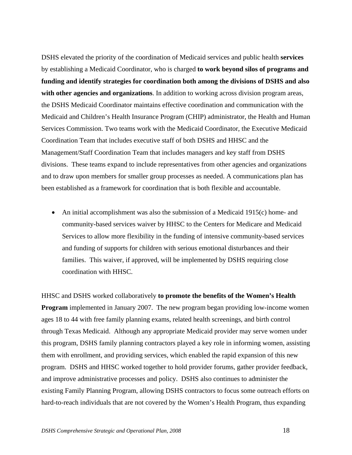DSHS elevated the priority of the coordination of Medicaid services and public health **services** by establishing a Medicaid Coordinator, who is charged **to work beyond silos of programs and funding and identify strategies for coordination both among the divisions of DSHS and also**  with other agencies and organizations. In addition to working across division program areas, the DSHS Medicaid Coordinator maintains effective coordination and communication with the Medicaid and Children's Health Insurance Program (CHIP) administrator, the Health and Human Services Commission. Two teams work with the Medicaid Coordinator, the Executive Medicaid Coordination Team that includes executive staff of both DSHS and HHSC and the Management/Staff Coordination Team that includes managers and key staff from DSHS divisions. These teams expand to include representatives from other agencies and organizations and to draw upon members for smaller group processes as needed. A communications plan has been established as a framework for coordination that is both flexible and accountable.

• An initial accomplishment was also the submission of a Medicaid 1915(c) home- and community-based services waiver by HHSC to the Centers for Medicare and Medicaid Services to allow more flexibility in the funding of intensive community-based services and funding of supports for children with serious emotional disturbances and their families. This waiver, if approved, will be implemented by DSHS requiring close coordination with HHSC.

HHSC and DSHS worked collaboratively **to promote the benefits of the Women's Health Program** implemented in January 2007. The new program began providing low-income women ages 18 to 44 with free family planning exams, related health screenings, and birth control through Texas Medicaid. Although any appropriate Medicaid provider may serve women under this program, DSHS family planning contractors played a key role in informing women, assisting them with enrollment, and providing services, which enabled the rapid expansion of this new program. DSHS and HHSC worked together to hold provider forums, gather provider feedback, and improve administrative processes and policy. DSHS also continues to administer the existing Family Planning Program, allowing DSHS contractors to focus some outreach efforts on hard-to-reach individuals that are not covered by the Women's Health Program, thus expanding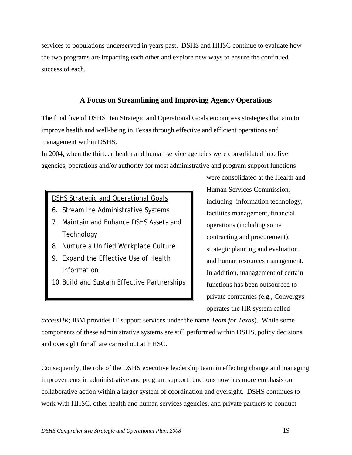<span id="page-23-0"></span>services to populations underserved in years past. DSHS and HHSC continue to evaluate how the two programs are impacting each other and explore new ways to ensure the continued success of each.

#### **A Focus on Streamlining and Improving Agency Operations**

The final five of DSHS' ten Strategic and Operational Goals encompass strategies that aim to improve health and well-being in Texas through effective and efficient operations and management within DSHS.

In 2004, when the thirteen health and human service agencies were consolidated into five agencies, operations and/or authority for most administrative and program support functions

#### DSHS Strategic and Operational Goals

- 6. Streamline Administrative Systems
- 7. Maintain and Enhance DSHS Assets and **Technology**
- 8. Nurture a Unified Workplace Culture
- 9. Expand the Effective Use of Health Information
- 10.Build and Sustain Effective Partnerships

were consolidated at the Health and Human Services Commission, including information technology, facilities management, financial operations (including some contracting and procurement), strategic planning and evaluation, and human resources management. In addition, management of certain functions has been outsourced to private companies (e.g., Convergys operates the HR system called

*accessHR*; IBM provides IT support services under the name *Team for Texas*). While some components of these administrative systems are still performed within DSHS, policy decisions and oversight for all are carried out at HHSC.

Consequently, the role of the DSHS executive leadership team in effecting change and managing improvements in administrative and program support functions now has more emphasis on collaborative action within a larger system of coordination and oversight. DSHS continues to work with HHSC, other health and human services agencies, and private partners to conduct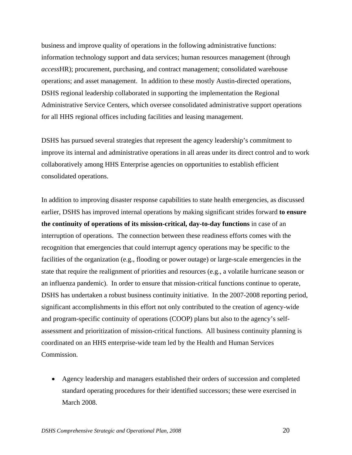business and improve quality of operations in the following administrative functions: information technology support and data services; human resources management (through *access*HR); procurement, purchasing, and contract management; consolidated warehouse operations; and asset management. In addition to these mostly Austin-directed operations, DSHS regional leadership collaborated in supporting the implementation the Regional Administrative Service Centers, which oversee consolidated administrative support operations for all HHS regional offices including facilities and leasing management.

DSHS has pursued several strategies that represent the agency leadership's commitment to improve its internal and administrative operations in all areas under its direct control and to work collaboratively among HHS Enterprise agencies on opportunities to establish efficient consolidated operations.

In addition to improving disaster response capabilities to state health emergencies, as discussed earlier, DSHS has improved internal operations by making significant strides forward **to ensure the continuity of operations of its mission-critical, day-to-day functions** in case of an interruption of operations. The connection between these readiness efforts comes with the recognition that emergencies that could interrupt agency operations may be specific to the facilities of the organization (e.g., flooding or power outage) or large-scale emergencies in the state that require the realignment of priorities and resources (e.g., a volatile hurricane season or an influenza pandemic). In order to ensure that mission-critical functions continue to operate, DSHS has undertaken a robust business continuity initiative. In the 2007-2008 reporting period, significant accomplishments in this effort not only contributed to the creation of agency-wide and program-specific continuity of operations (COOP) plans but also to the agency's selfassessment and prioritization of mission-critical functions. All business continuity planning is coordinated on an HHS enterprise-wide team led by the Health and Human Services Commission.

• Agency leadership and managers established their orders of succession and completed standard operating procedures for their identified successors; these were exercised in March 2008.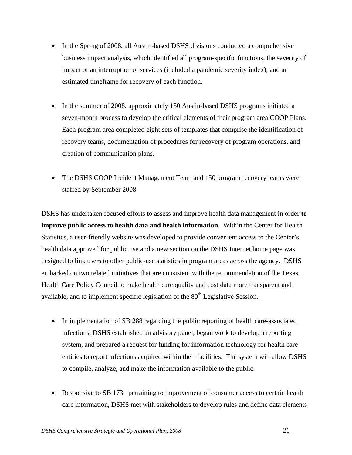- In the Spring of 2008, all Austin-based DSHS divisions conducted a comprehensive business impact analysis, which identified all program-specific functions, the severity of impact of an interruption of services (included a pandemic severity index), and an estimated timeframe for recovery of each function.
- In the summer of 2008, approximately 150 Austin-based DSHS programs initiated a seven-month process to develop the critical elements of their program area COOP Plans. Each program area completed eight sets of templates that comprise the identification of recovery teams, documentation of procedures for recovery of program operations, and creation of communication plans.
- The DSHS COOP Incident Management Team and 150 program recovery teams were staffed by September 2008.

DSHS has undertaken focused efforts to assess and improve health data management in order **to improve public access to health data and health information**. Within the Center for Health Statistics, a user-friendly website was developed to provide convenient access to the Center's health data approved for public use and a new section on the DSHS Internet home page was designed to link users to other public-use statistics in program areas across the agency. DSHS embarked on two related initiatives that are consistent with the recommendation of the Texas Health Care Policy Council to make health care quality and cost data more transparent and available, and to implement specific legislation of the 80<sup>th</sup> Legislative Session.

- In implementation of SB 288 regarding the public reporting of health care-associated infections, DSHS established an advisory panel, began work to develop a reporting system, and prepared a request for funding for information technology for health care entities to report infections acquired within their facilities. The system will allow DSHS to compile, analyze, and make the information available to the public.
- Responsive to SB 1731 pertaining to improvement of consumer access to certain health care information, DSHS met with stakeholders to develop rules and define data elements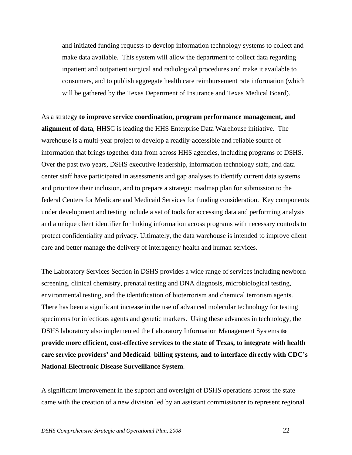and initiated funding requests to develop information technology systems to collect and make data available. This system will allow the department to collect data regarding inpatient and outpatient surgical and radiological procedures and make it available to consumers, and to publish aggregate health care reimbursement rate information (which will be gathered by the Texas Department of Insurance and Texas Medical Board).

As a strategy **to improve service coordination, program performance management, and alignment of data**, HHSC is leading the HHS Enterprise Data Warehouse initiative. The warehouse is a multi-year project to develop a readily-accessible and reliable source of information that brings together data from across HHS agencies, including programs of DSHS. Over the past two years, DSHS executive leadership, information technology staff, and data center staff have participated in assessments and gap analyses to identify current data systems and prioritize their inclusion, and to prepare a strategic roadmap plan for submission to the federal Centers for Medicare and Medicaid Services for funding consideration. Key components under development and testing include a set of tools for accessing data and performing analysis and a unique client identifier for linking information across programs with necessary controls to protect confidentiality and privacy. Ultimately, the data warehouse is intended to improve client care and better manage the delivery of interagency health and human services.

The Laboratory Services Section in DSHS provides a wide range of services including newborn screening, clinical chemistry, prenatal testing and DNA diagnosis, microbiological testing, environmental testing, and the identification of bioterrorism and chemical terrorism agents. There has been a significant increase in the use of advanced molecular technology for testing specimens for infectious agents and genetic markers. Using these advances in technology, the DSHS laboratory also implemented the Laboratory Information Management Systems **to provide more efficient, cost-effective services to the state of Texas, to integrate with health care service providers' and Medicaid billing systems, and to interface directly with CDC's National Electronic Disease Surveillance System**.

A significant improvement in the support and oversight of DSHS operations across the state came with the creation of a new division led by an assistant commissioner to represent regional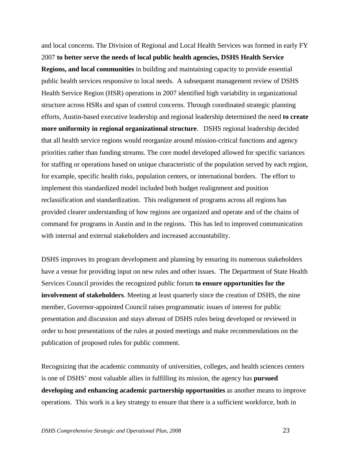and local concerns. The Division of Regional and Local Health Services was formed in early FY 2007 **to better serve the needs of local public health agencies, DSHS Health Service Regions, and local communities** in building and maintaining capacity to provide essential public health services responsive to local needs. A subsequent management review of DSHS Health Service Region (HSR) operations in 2007 identified high variability in organizational structure across HSRs and span of control concerns. Through coordinated strategic planning efforts, Austin-based executive leadership and regional leadership determined the need **to create more uniformity in regional organizational structure**. DSHS regional leadership decided that all health service regions would reorganize around mission-critical functions and agency priorities rather than funding streams. The core model developed allowed for specific variances for staffing or operations based on unique characteristic of the population served by each region, for example, specific health risks, population centers, or international borders. The effort to implement this standardized model included both budget realignment and position reclassification and standardization. This realignment of programs across all regions has provided clearer understanding of how regions are organized and operate and of the chains of command for programs in Austin and in the regions. This has led to improved communication with internal and external stakeholders and increased accountability.

DSHS improves its program development and planning by ensuring its numerous stakeholders have a venue for providing input on new rules and other issues. The Department of State Health Services Council provides the recognized public forum **to ensure opportunities for the involvement of stakeholders**. Meeting at least quarterly since the creation of DSHS, the nine member, Governor-appointed Council raises programmatic issues of interest for public presentation and discussion and stays abreast of DSHS rules being developed or reviewed in order to host presentations of the rules at posted meetings and make recommendations on the publication of proposed rules for public comment.

Recognizing that the academic community of universities, colleges, and health sciences centers is one of DSHS' most valuable allies in fulfilling its mission, the agency has **pursued developing and enhancing academic partnership opportunities** as another means to improve operations. This work is a key strategy to ensure that there is a sufficient workforce, both in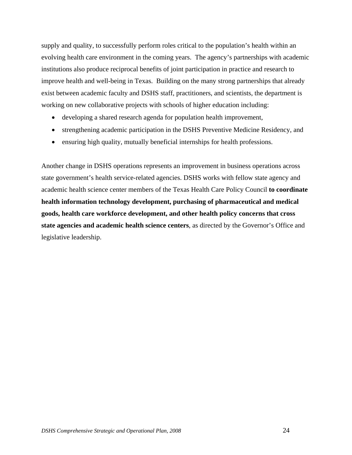supply and quality, to successfully perform roles critical to the population's health within an evolving health care environment in the coming years. The agency's partnerships with academic institutions also produce reciprocal benefits of joint participation in practice and research to improve health and well-being in Texas. Building on the many strong partnerships that already exist between academic faculty and DSHS staff, practitioners, and scientists, the department is working on new collaborative projects with schools of higher education including:

- developing a shared research agenda for population health improvement,
- strengthening academic participation in the DSHS Preventive Medicine Residency, and
- ensuring high quality, mutually beneficial internships for health professions.

Another change in DSHS operations represents an improvement in business operations across state government's health service-related agencies. DSHS works with fellow state agency and academic health science center members of the Texas Health Care Policy Council **to coordinate health information technology development, purchasing of pharmaceutical and medical goods, health care workforce development, and other health policy concerns that cross state agencies and academic health science centers**, as directed by the Governor's Office and legislative leadership.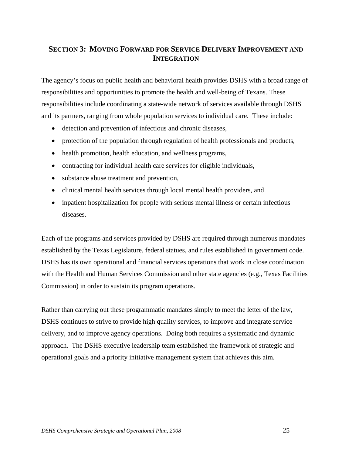## <span id="page-29-0"></span>**SECTION 3: MOVING FORWARD FOR SERVICE DELIVERY IMPROVEMENT AND INTEGRATION**

The agency's focus on public health and behavioral health provides DSHS with a broad range of responsibilities and opportunities to promote the health and well-being of Texans. These responsibilities include coordinating a state-wide network of services available through DSHS and its partners, ranging from whole population services to individual care. These include:

- detection and prevention of infectious and chronic diseases,
- protection of the population through regulation of health professionals and products,
- health promotion, health education, and wellness programs,
- contracting for individual health care services for eligible individuals,
- substance abuse treatment and prevention,
- clinical mental health services through local mental health providers, and
- inpatient hospitalization for people with serious mental illness or certain infectious diseases.

Each of the programs and services provided by DSHS are required through numerous mandates established by the Texas Legislature, federal statues, and rules established in government code. DSHS has its own operational and financial services operations that work in close coordination with the Health and Human Services Commission and other state agencies (e.g., Texas Facilities Commission) in order to sustain its program operations.

Rather than carrying out these programmatic mandates simply to meet the letter of the law, DSHS continues to strive to provide high quality services, to improve and integrate service delivery, and to improve agency operations. Doing both requires a systematic and dynamic approach. The DSHS executive leadership team established the framework of strategic and operational goals and a priority initiative management system that achieves this aim.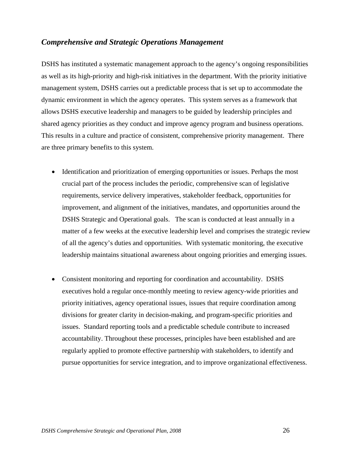#### <span id="page-30-0"></span>*Comprehensive and Strategic Operations Management*

DSHS has instituted a systematic management approach to the agency's ongoing responsibilities as well as its high-priority and high-risk initiatives in the department. With the priority initiative management system, DSHS carries out a predictable process that is set up to accommodate the dynamic environment in which the agency operates. This system serves as a framework that allows DSHS executive leadership and managers to be guided by leadership principles and shared agency priorities as they conduct and improve agency program and business operations. This results in a culture and practice of consistent, comprehensive priority management. There are three primary benefits to this system.

- Identification and prioritization of emerging opportunities or issues. Perhaps the most crucial part of the process includes the periodic, comprehensive scan of legislative requirements, service delivery imperatives, stakeholder feedback, opportunities for improvement, and alignment of the initiatives, mandates, and opportunities around the DSHS Strategic and Operational goals. The scan is conducted at least annually in a matter of a few weeks at the executive leadership level and comprises the strategic review of all the agency's duties and opportunities. With systematic monitoring, the executive leadership maintains situational awareness about ongoing priorities and emerging issues.
- Consistent monitoring and reporting for coordination and accountability. DSHS executives hold a regular once-monthly meeting to review agency-wide priorities and priority initiatives, agency operational issues, issues that require coordination among divisions for greater clarity in decision-making, and program-specific priorities and issues. Standard reporting tools and a predictable schedule contribute to increased accountability. Throughout these processes, principles have been established and are regularly applied to promote effective partnership with stakeholders, to identify and pursue opportunities for service integration, and to improve organizational effectiveness.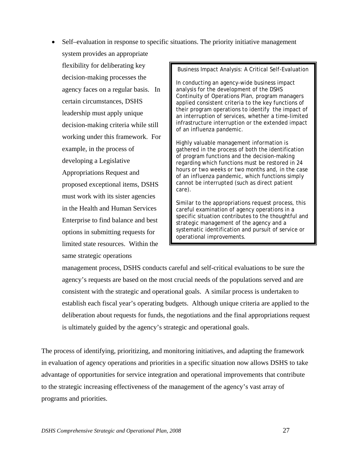• Self–evaluation in response to specific situations. The priority initiative management

system provides an appropriate flexibility for deliberating key decision-making processes the agency faces on a regular basis. In certain circumstances, DSHS leadership must apply unique decision-making criteria while still working under this framework. For example, in the process of developing a Legislative Appropriations Request and proposed exceptional items, DSHS must work with its sister agencies in the Health and Human Services Enterprise to find balance and best options in submitting requests for limited state resources. Within the same strategic operations

Business Impact Analysis: A Critical Self-Evaluation

In conducting an agency-wide business impact analysis for the development of the DSHS Continuity of Operations Plan, program managers applied consistent criteria to the key functions of their program operations to identify the impact of an interruption of services, whether a time-limited infrastructure interruption or the extended impact of an influenza pandemic.

Highly valuable management information is gathered in the process of both the identification of program functions and the decision-making regarding which functions must be restored in 24 hours or two weeks or two months and, in the case of an influenza pandemic, which functions simply cannot be interrupted (such as direct patient care).

Similar to the appropriations request process, this careful examination of agency operations in a specific situation contributes to the thoughtful and strategic management of the agency and a systematic identification and pursuit of service or operational improvements.

management process, DSHS conducts careful and self-critical evaluations to be sure the agency's requests are based on the most crucial needs of the populations served and are consistent with the strategic and operational goals. A similar process is undertaken to establish each fiscal year's operating budgets. Although unique criteria are applied to the deliberation about requests for funds, the negotiations and the final appropriations request is ultimately guided by the agency's strategic and operational goals.

The process of identifying, prioritizing, and monitoring initiatives, and adapting the framework in evaluation of agency operations and priorities in a specific situation now allows DSHS to take advantage of opportunities for service integration and operational improvements that contribute to the strategic increasing effectiveness of the management of the agency's vast array of programs and priorities.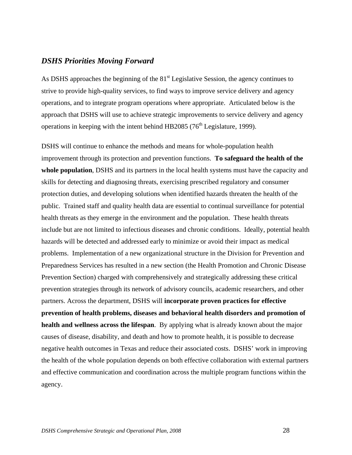#### <span id="page-32-0"></span>*DSHS Priorities Moving Forward*

As DSHS approaches the beginning of the  $81<sup>st</sup>$  Legislative Session, the agency continues to strive to provide high-quality services, to find ways to improve service delivery and agency operations, and to integrate program operations where appropriate. Articulated below is the approach that DSHS will use to achieve strategic improvements to service delivery and agency operations in keeping with the intent behind HB2085 ( $76<sup>th</sup>$  Legislature, 1999).

DSHS will continue to enhance the methods and means for whole-population health improvement through its protection and prevention functions. **To safeguard the health of the whole population**, DSHS and its partners in the local health systems must have the capacity and skills for detecting and diagnosing threats, exercising prescribed regulatory and consumer protection duties, and developing solutions when identified hazards threaten the health of the public. Trained staff and quality health data are essential to continual surveillance for potential health threats as they emerge in the environment and the population. These health threats include but are not limited to infectious diseases and chronic conditions. Ideally, potential health hazards will be detected and addressed early to minimize or avoid their impact as medical problems. Implementation of a new organizational structure in the Division for Prevention and Preparedness Services has resulted in a new section (the Health Promotion and Chronic Disease Prevention Section) charged with comprehensively and strategically addressing these critical prevention strategies through its network of advisory councils, academic researchers, and other partners. Across the department, DSHS will **incorporate proven practices for effective prevention of health problems, diseases and behavioral health disorders and promotion of health and wellness across the lifespan**. By applying what is already known about the major causes of disease, disability, and death and how to promote health, it is possible to decrease negative health outcomes in Texas and reduce their associated costs. DSHS' work in improving the health of the whole population depends on both effective collaboration with external partners and effective communication and coordination across the multiple program functions within the agency.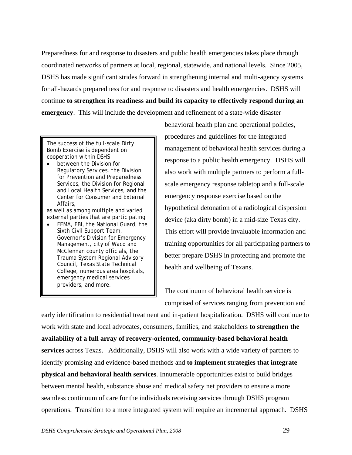Preparedness for and response to disasters and public health emergencies takes place through coordinated networks of partners at local, regional, statewide, and national levels. Since 2005, DSHS has made significant strides forward in strengthening internal and multi-agency systems for all-hazards preparedness for and response to disasters and health emergencies. DSHS will continue **to strengthen its readiness and build its capacity to effectively respond during an emergency**. This will include the development and refinement of a state-wide disaster

The success of the full-scale Dirty Bomb Exercise is dependent on cooperation within DSHS

between the Division for Regulatory Services, the Division for Prevention and Preparedness Services, the Division for Regional and Local Health Services, and the Center for Consumer and External Affairs,

as well as among multiple and varied external parties that are participating

• FEMA, FBI, the National Guard, the Sixth Civil Support Team, Governor's Division for Emergency Management, city of Waco and McClennan county officials, the Trauma System Regional Advisory Council, Texas State Technical College, numerous area hospitals, emergency medical services providers, and more.

behavioral health plan and operational policies, procedures and guidelines for the integrated management of behavioral health services during a response to a public health emergency. DSHS will also work with multiple partners to perform a fullscale emergency response tabletop and a full-scale emergency response exercise based on the hypothetical detonation of a radiological dispersion device (aka dirty bomb) in a mid-size Texas city. This effort will provide invaluable information and training opportunities for all participating partners to better prepare DSHS in protecting and promote the health and wellbeing of Texans.

The continuum of behavioral health service is comprised of services ranging from prevention and

early identification to residential treatment and in-patient hospitalization. DSHS will continue to work with state and local advocates, consumers, families, and stakeholders **to strengthen the availability of a full array of recovery-oriented, community-based behavioral health services** across Texas. Additionally, DSHS will also work with a wide variety of partners to identify promising and evidence-based methods and **to implement strategies that integrate physical and behavioral health services**. Innumerable opportunities exist to build bridges between mental health, substance abuse and medical safety net providers to ensure a more seamless continuum of care for the individuals receiving services through DSHS program operations. Transition to a more integrated system will require an incremental approach. DSHS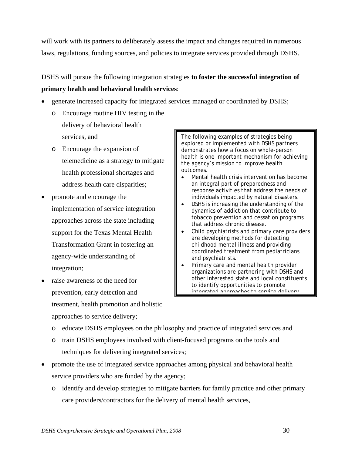will work with its partners to deliberately assess the impact and changes required in numerous laws, regulations, funding sources, and policies to integrate services provided through DSHS.

# DSHS will pursue the following integration strategies **to foster the successful integration of primary health and behavioral health services**:

- generate increased capacity for integrated services managed or coordinated by DSHS;
	- o Encourage routine HIV testing in the delivery of behavioral health
	- o Encourage the expansion of telemedicine as a strategy to mitigate health professional shortages and address health care disparities;
- promote and encourage the implementation of service integration approaches across the state including support for the Texas Mental Health Transformation Grant in fostering an agency-wide understanding of integration;
- raise awareness of the need for prevention, early detection and treatment, health promotion and holistic approaches to service delivery;

services, and **The following examples of strategies being** explored or implemented with DSHS partners demonstrates how a focus on whole-person health is one important mechanism for achieving the agency's mission to improve health outcomes.

- Mental health crisis intervention has become an integral part of preparedness and response activities that address the needs of individuals impacted by natural disasters.
- DSHS is increasing the understanding of the dynamics of addiction that contribute to tobacco prevention and cessation programs that address chronic disease.
- Child psychiatrists and primary care providers are developing methods for detecting childhood mental illness and providing coordinated treatment from pediatricians and psychiatrists.
- Primary care and mental health provider organizations are partnering with DSHS and other interested state and local constituents to identify opportunities to promote integrated approaches to service delivery
- o educate DSHS employees on the philosophy and practice of integrated services and
- o train DSHS employees involved with client-focused programs on the tools and techniques for delivering integrated services;
- promote the use of integrated service approaches among physical and behavioral health service providers who are funded by the agency;
	- o identify and develop strategies to mitigate barriers for family practice and other primary care providers/contractors for the delivery of mental health services,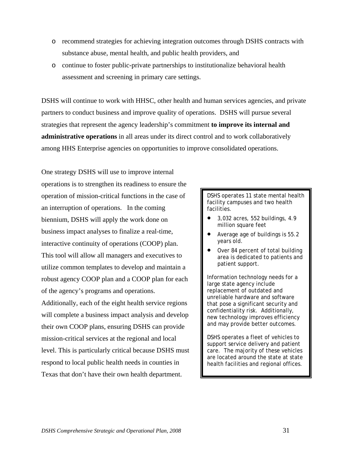- o recommend strategies for achieving integration outcomes through DSHS contracts with substance abuse, mental health, and public health providers, and
- o continue to foster public-private partnerships to institutionalize behavioral health assessment and screening in primary care settings.

DSHS will continue to work with HHSC, other health and human services agencies, and private partners to conduct business and improve quality of operations. DSHS will pursue several strategies that represent the agency leadership's commitment **to improve its internal and administrative operations** in all areas under its direct control and to work collaboratively among HHS Enterprise agencies on opportunities to improve consolidated operations.

One strategy DSHS will use to improve internal operations is to strengthen its readiness to ensure the operation of mission-critical functions in the case of an interruption of operations. In the coming biennium, DSHS will apply the work done on business impact analyses to finalize a real-time, interactive continuity of operations (COOP) plan. This tool will allow all managers and executives to utilize common templates to develop and maintain a robust agency COOP plan and a COOP plan for each of the agency's programs and operations. Additionally, each of the eight health service regions will complete a business impact analysis and develop their own COOP plans, ensuring DSHS can provide mission-critical services at the regional and local level. This is particularly critical because DSHS must respond to local public health needs in counties in Texas that don't have their own health department.

DSHS operates 11 state mental health facility campuses and two health facilities.

- $\bullet$  3,032 acres, 552 buildings, 4.9 million square feet
- Average age of buildings is 55.2 years old.
- Over 84 percent of total building area is dedicated to patients and • patient support.

Information technology needs for a and may provide better outcomes. large state agency include replacement of outdated and unreliable hardware and software that pose a significant security and confidentiality risk. Additionally, new technology improves efficiency

health facilities and regional offices. DSHS operates a fleet of vehicles to support service delivery and patient care. The majority of these vehicles are located around the state at state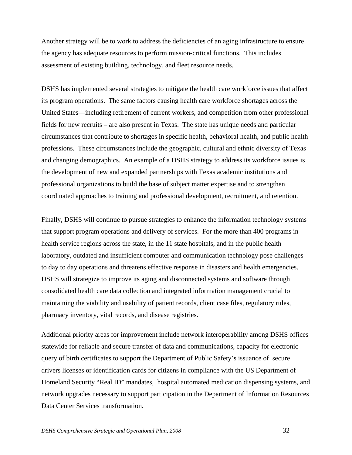Another strategy will be to work to address the deficiencies of an aging infrastructure to ensure the agency has adequate resources to perform mission-critical functions. This includes assessment of existing building, technology, and fleet resource needs.

DSHS has implemented several strategies to mitigate the health care workforce issues that affect its program operations. The same factors causing health care workforce shortages across the United States—including retirement of current workers, and competition from other professional fields for new recruits – are also present in Texas. The state has unique needs and particular circumstances that contribute to shortages in specific health, behavioral health, and public health professions. These circumstances include the geographic, cultural and ethnic diversity of Texas and changing demographics. An example of a DSHS strategy to address its workforce issues is the development of new and expanded partnerships with Texas academic institutions and professional organizations to build the base of subject matter expertise and to strengthen coordinated approaches to training and professional development, recruitment, and retention.

Finally, DSHS will continue to pursue strategies to enhance the information technology systems that support program operations and delivery of services. For the more than 400 programs in health service regions across the state, in the 11 state hospitals, and in the public health laboratory, outdated and insufficient computer and communication technology pose challenges to day to day operations and threatens effective response in disasters and health emergencies. DSHS will strategize to improve its aging and disconnected systems and software through consolidated health care data collection and integrated information management crucial to maintaining the viability and usability of patient records, client case files, regulatory rules, pharmacy inventory, vital records, and disease registries.

Additional priority areas for improvement include network interoperability among DSHS offices statewide for reliable and secure transfer of data and communications, capacity for electronic query of birth certificates to support the Department of Public Safety's issuance of secure drivers licenses or identification cards for citizens in compliance with the US Department of Homeland Security "Real ID" mandates, hospital automated medication dispensing systems, and network upgrades necessary to support participation in the Department of Information Resources Data Center Services transformation.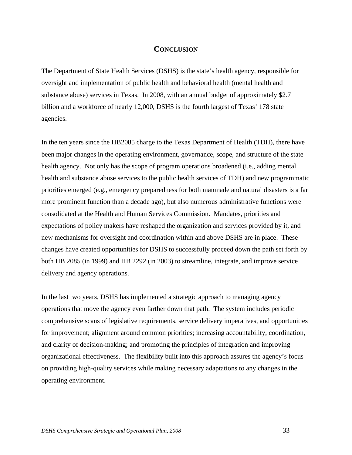#### **CONCLUSION**

<span id="page-37-0"></span>The Department of State Health Services (DSHS) is the state's health agency, responsible for oversight and implementation of public health and behavioral health (mental health and substance abuse) services in Texas. In 2008, with an annual budget of approximately \$2.7 billion and a workforce of nearly 12,000, DSHS is the fourth largest of Texas' 178 state agencies.

In the ten years since the HB2085 charge to the Texas Department of Health (TDH), there have been major changes in the operating environment, governance, scope, and structure of the state health agency. Not only has the scope of program operations broadened (i.e., adding mental health and substance abuse services to the public health services of TDH) and new programmatic priorities emerged (e.g., emergency preparedness for both manmade and natural disasters is a far more prominent function than a decade ago), but also numerous administrative functions were consolidated at the Health and Human Services Commission. Mandates, priorities and expectations of policy makers have reshaped the organization and services provided by it, and new mechanisms for oversight and coordination within and above DSHS are in place. These changes have created opportunities for DSHS to successfully proceed down the path set forth by both HB 2085 (in 1999) and HB 2292 (in 2003) to streamline, integrate, and improve service delivery and agency operations.

In the last two years, DSHS has implemented a strategic approach to managing agency operations that move the agency even farther down that path. The system includes periodic comprehensive scans of legislative requirements, service delivery imperatives, and opportunities for improvement; alignment around common priorities; increasing accountability, coordination, and clarity of decision-making; and promoting the principles of integration and improving organizational effectiveness. The flexibility built into this approach assures the agency's focus on providing high-quality services while making necessary adaptations to any changes in the operating environment.